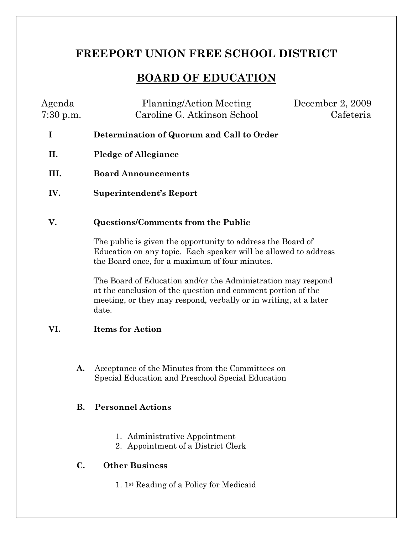# **FREEPORT UNION FREE SCHOOL DISTRICT**

## **BOARD OF EDUCATION**

| Agenda<br>$7:30$ p.m. | Planning/Action Meeting<br>Caroline G. Atkinson School                                                                                                                                           | December 2, 2009<br>Cafeteria |
|-----------------------|--------------------------------------------------------------------------------------------------------------------------------------------------------------------------------------------------|-------------------------------|
| I                     | Determination of Quorum and Call to Order                                                                                                                                                        |                               |
| П.                    | <b>Pledge of Allegiance</b>                                                                                                                                                                      |                               |
| III.                  | <b>Board Announcements</b>                                                                                                                                                                       |                               |
| IV.                   | <b>Superintendent's Report</b>                                                                                                                                                                   |                               |
| V.                    | Questions/Comments from the Public                                                                                                                                                               |                               |
|                       | The public is given the opportunity to address the Board of<br>Education on any topic. Each speaker will be allowed to address<br>the Board once, for a maximum of four minutes.                 |                               |
|                       | The Board of Education and/or the Administration may respond<br>at the conclusion of the question and comment portion of the<br>meeting, or they may respond, verbally or in writing, at a later |                               |

#### **VI. Items for Action**

date.

**A.** Acceptance of the Minutes from the Committees on Special Education and Preschool Special Education

#### **B. Personnel Actions**

- 1. Administrative Appointment
- 2. Appointment of a District Clerk

### **C. Other Business**

1. 1st Reading of a Policy for Medicaid